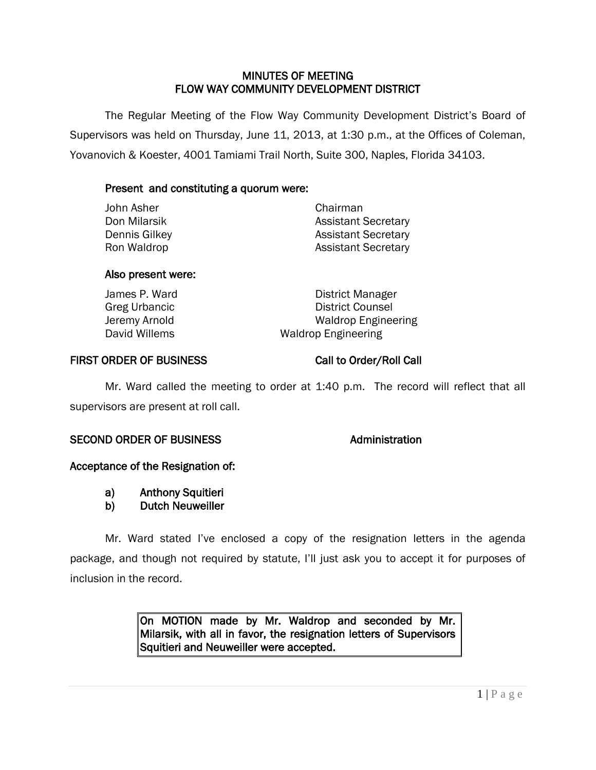# MINUTES OF MEETING FLOW WAY COMMUNITY DEVELOPMENT DISTRICT

 The Regular Meeting of the Flow Way Community Development District's Board of Supervisors was held on Thursday, June 11, 2013, at 1:30 p.m., at the Offices of Coleman, Yovanovich & Koester, 4001 Tamiami Trail North, Suite 300, Naples, Florida 34103.

# Present and constituting a quorum were:

| John Asher    | Chairman                   |  |  |  |
|---------------|----------------------------|--|--|--|
| Don Milarsik  | <b>Assistant Secretary</b> |  |  |  |
| Dennis Gilkey | <b>Assistant Secretary</b> |  |  |  |
| Ron Waldrop   | <b>Assistant Secretary</b> |  |  |  |
|               |                            |  |  |  |

### Also present were:

| James P. Ward | District Manager           |
|---------------|----------------------------|
| Greg Urbancic | <b>District Counsel</b>    |
| Jeremy Arnold | <b>Waldrop Engineering</b> |
| David Willems | <b>Waldrop Engineering</b> |

# FIRST ORDER OF BUSINESS Call to Order/Roll Call

Mr. Ward called the meeting to order at 1:40 p.m. The record will reflect that all supervisors are present at roll call.

# SECOND ORDER OF BUSINESS Administration

### Acceptance of the Resignation of:

- a) Anthony Squitieri
- b) Dutch Neuweiller

Mr. Ward stated I've enclosed a copy of the resignation letters in the agenda package, and though not required by statute, I'll just ask you to accept it for purposes of inclusion in the record.

> On MOTION made by Mr. Waldrop and seconded by Mr. Milarsik, with all in favor, the resignation letters of Supervisors Squitieri and Neuweiller were accepted.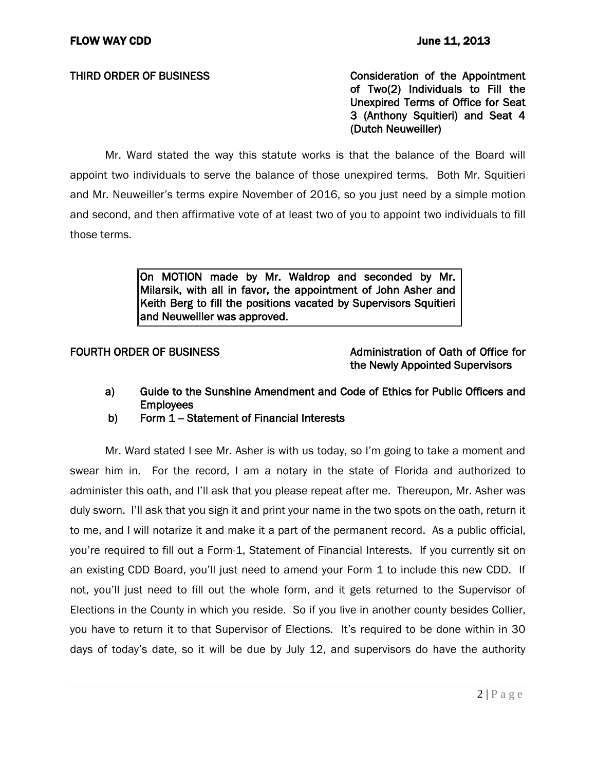THIRD ORDER OF BUSINESS THIRD ON SCONSIDER THIRD ORDER OF BUSINESS of Two(2) Individuals to Fill the Unexpired Terms of Office for Seat 3 (Anthony Squitieri) and Seat 4 (Dutch Neuweiller)

Mr. Ward stated the way this statute works is that the balance of the Board will appoint two individuals to serve the balance of those unexpired terms. Both Mr. Squitieri and Mr. Neuweiller's terms expire November of 2016, so you just need by a simple motion and second, and then affirmative vote of at least two of you to appoint two individuals to fill those terms.

> On MOTION made by Mr. Waldrop and seconded by Mr. Milarsik, with all in favor, the appointment of John Asher and Keith Berg to fill the positions vacated by Supervisors Squitieri and Neuweiller was approved.

# FOURTH ORDER OF BUSINESS And the metal administration of Oath of Office for the Newly Appointed Supervisors

- a) Guide to the Sunshine Amendment and Code of Ethics for Public Officers and **Employees**
- b) Form  $1 -$  Statement of Financial Interests

Mr. Ward stated I see Mr. Asher is with us today, so I'm going to take a moment and swear him in. For the record, I am a notary in the state of Florida and authorized to administer this oath, and I'll ask that you please repeat after me. Thereupon, Mr. Asher was duly sworn. I'll ask that you sign it and print your name in the two spots on the oath, return it to me, and I will notarize it and make it a part of the permanent record. As a public official, you're required to fill out a Form-1, Statement of Financial Interests. If you currently sit on an existing CDD Board, you'll just need to amend your Form 1 to include this new CDD. If not, you'll just need to fill out the whole form, and it gets returned to the Supervisor of Elections in the County in which you reside. So if you live in another county besides Collier, you have to return it to that Supervisor of Elections. It's required to be done within in 30 days of today's date, so it will be due by July 12, and supervisors do have the authority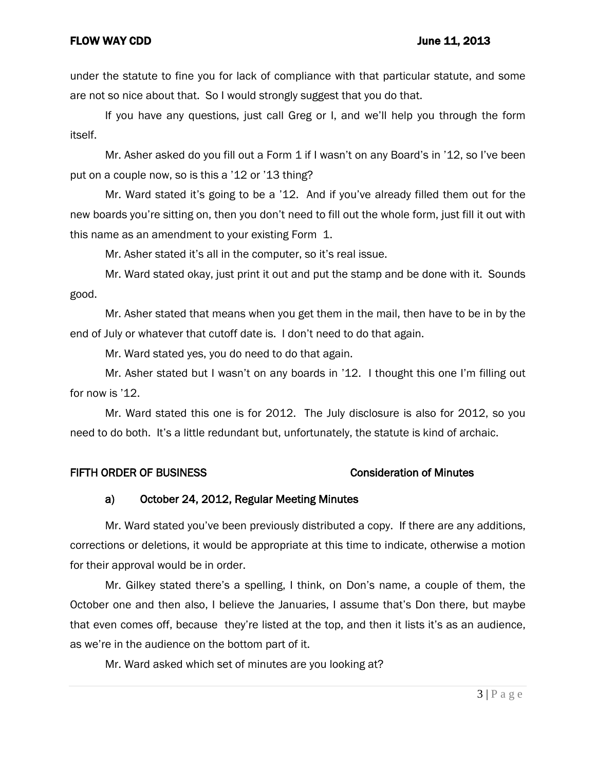under the statute to fine you for lack of compliance with that particular statute, and some are not so nice about that. So I would strongly suggest that you do that.

If you have any questions, just call Greg or I, and we'll help you through the form itself.

Mr. Asher asked do you fill out a Form 1 if I wasn't on any Board's in '12, so I've been put on a couple now, so is this a '12 or '13 thing?

Mr. Ward stated it's going to be a '12. And if you've already filled them out for the new boards you're sitting on, then you don't need to fill out the whole form, just fill it out with this name as an amendment to your existing Form 1.

Mr. Asher stated it's all in the computer, so it's real issue.

Mr. Ward stated okay, just print it out and put the stamp and be done with it. Sounds good.

Mr. Asher stated that means when you get them in the mail, then have to be in by the end of July or whatever that cutoff date is. I don't need to do that again.

Mr. Ward stated yes, you do need to do that again.

Mr. Asher stated but I wasn't on any boards in '12. I thought this one I'm filling out for now is '12.

Mr. Ward stated this one is for 2012. The July disclosure is also for 2012, so you need to do both. It's a little redundant but, unfortunately, the statute is kind of archaic.

### FIFTH ORDER OF BUSINESS **CONSIDER SETTLE SETTLE OF A SET A** Consideration of Minutes

### a) October 24, 2012, Regular Meeting Minutes

Mr. Ward stated you've been previously distributed a copy. If there are any additions, corrections or deletions, it would be appropriate at this time to indicate, otherwise a motion for their approval would be in order.

Mr. Gilkey stated there's a spelling, I think, on Don's name, a couple of them, the October one and then also, I believe the Januaries, I assume that's Don there, but maybe that even comes off, because they're listed at the top, and then it lists it's as an audience, as we're in the audience on the bottom part of it.

Mr. Ward asked which set of minutes are you looking at?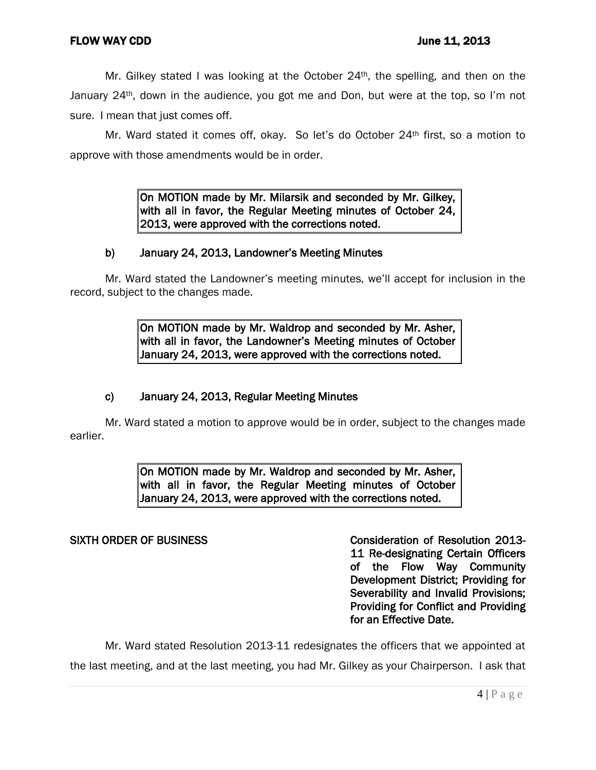Mr. Gilkey stated I was looking at the October  $24<sup>th</sup>$ , the spelling, and then on the January 24<sup>th</sup>, down in the audience, you got me and Don, but were at the top, so I'm not sure. I mean that just comes off.

Mr. Ward stated it comes off, okay. So let's do October 24th first, so a motion to approve with those amendments would be in order.

> On MOTION made by Mr. Milarsik and seconded by Mr. Gilkey, with all in favor, the Regular Meeting minutes of October 24, 2013, were approved with the corrections noted.

# b) January 24, 2013, Landowner's Meeting Minutes

Mr. Ward stated the Landowner's meeting minutes, we'll accept for inclusion in the record, subject to the changes made.

> On MOTION made by Mr. Waldrop and seconded by Mr. Asher, with all in favor, the Landowner's Meeting minutes of October January 24, 2013, were approved with the corrections noted.

# c) January 24, 2013, Regular Meeting Minutes

Mr. Ward stated a motion to approve would be in order, subject to the changes made earlier.

> On MOTION made by Mr. Waldrop and seconded by Mr. Asher, with all in favor, the Regular Meeting minutes of October January 24, 2013, were approved with the corrections noted.

SIXTH ORDER OF BUSINESS CONSIDERATION OF Resolution 2013-11 Re-designating Certain Officers of the Flow Way Community Development District; Providing for Severability and Invalid Provisions; Providing for Conflict and Providing for an Effective Date.

Mr. Ward stated Resolution 2013-11 redesignates the officers that we appointed at the last meeting, and at the last meeting, you had Mr. Gilkey as your Chairperson. I ask that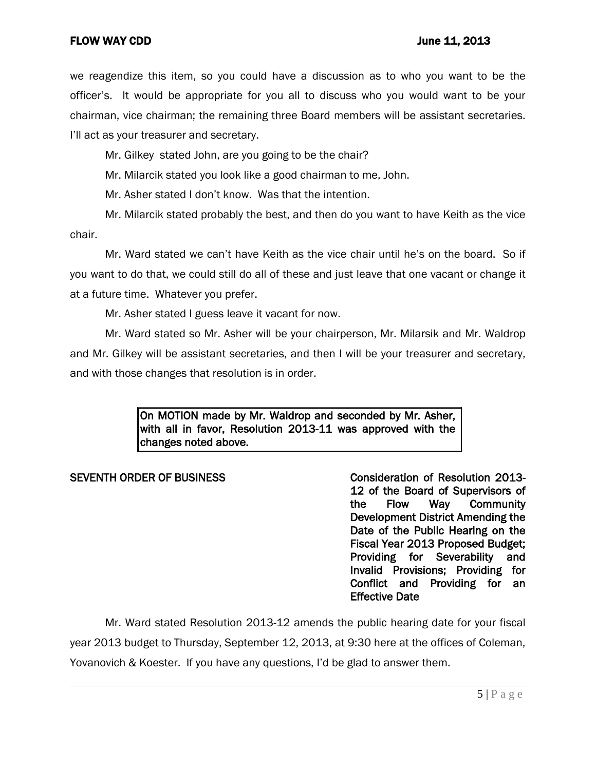we reagendize this item, so you could have a discussion as to who you want to be the officer's. It would be appropriate for you all to discuss who you would want to be your chairman, vice chairman; the remaining three Board members will be assistant secretaries. I'll act as your treasurer and secretary.

Mr. Gilkey stated John, are you going to be the chair?

Mr. Milarcik stated you look like a good chairman to me, John.

Mr. Asher stated I don't know. Was that the intention.

Mr. Milarcik stated probably the best, and then do you want to have Keith as the vice chair.

Mr. Ward stated we can't have Keith as the vice chair until he's on the board. So if you want to do that, we could still do all of these and just leave that one vacant or change it at a future time. Whatever you prefer.

Mr. Asher stated I guess leave it vacant for now.

Mr. Ward stated so Mr. Asher will be your chairperson, Mr. Milarsik and Mr. Waldrop and Mr. Gilkey will be assistant secretaries, and then I will be your treasurer and secretary, and with those changes that resolution is in order.

> On MOTION made by Mr. Waldrop and seconded by Mr. Asher, with all in favor, Resolution 2013-11 was approved with the changes noted above.

### SEVENTH ORDER OF BUSINESS CONSIDER THE CONSIDERATION Of Resolution 2013-

12 of the Board of Supervisors of the Flow Way Community Development District Amending the Date of the Public Hearing on the Fiscal Year 2013 Proposed Budget; Providing for Severability and Invalid Provisions; Providing for Conflict and Providing for an Effective Date

Mr. Ward stated Resolution 2013-12 amends the public hearing date for your fiscal year 2013 budget to Thursday, September 12, 2013, at 9:30 here at the offices of Coleman, Yovanovich & Koester. If you have any questions, I'd be glad to answer them.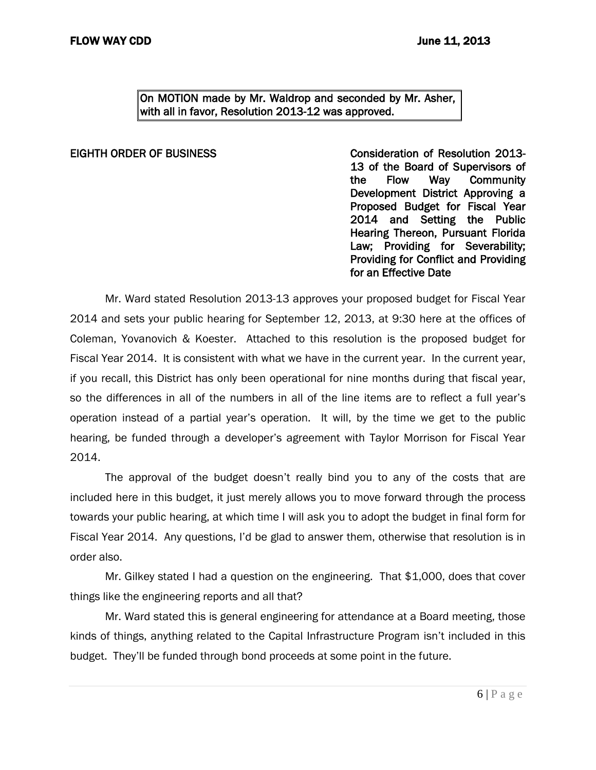On MOTION made by Mr. Waldrop and seconded by Mr. Asher, with all in favor, Resolution 2013-12 was approved.

EIGHTH ORDER OF BUSINESS Consideration of Resolution 2013- 13 of the Board of Supervisors of the Flow Way Community Development District Approving a Proposed Budget for Fiscal Year 2014 and Setting the Public Hearing Thereon, Pursuant Florida Law; Providing for Severability; Providing for Conflict and Providing for an Effective Date

Mr. Ward stated Resolution 2013-13 approves your proposed budget for Fiscal Year 2014 and sets your public hearing for September 12, 2013, at 9:30 here at the offices of Coleman, Yovanovich & Koester. Attached to this resolution is the proposed budget for Fiscal Year 2014. It is consistent with what we have in the current year. In the current year, if you recall, this District has only been operational for nine months during that fiscal year, so the differences in all of the numbers in all of the line items are to reflect a full year's operation instead of a partial year's operation. It will, by the time we get to the public hearing, be funded through a developer's agreement with Taylor Morrison for Fiscal Year 2014.

The approval of the budget doesn't really bind you to any of the costs that are included here in this budget, it just merely allows you to move forward through the process towards your public hearing, at which time I will ask you to adopt the budget in final form for Fiscal Year 2014. Any questions, I'd be glad to answer them, otherwise that resolution is in order also.

Mr. Gilkey stated I had a question on the engineering. That \$1,000, does that cover things like the engineering reports and all that?

Mr. Ward stated this is general engineering for attendance at a Board meeting, those kinds of things, anything related to the Capital Infrastructure Program isn't included in this budget. They'll be funded through bond proceeds at some point in the future.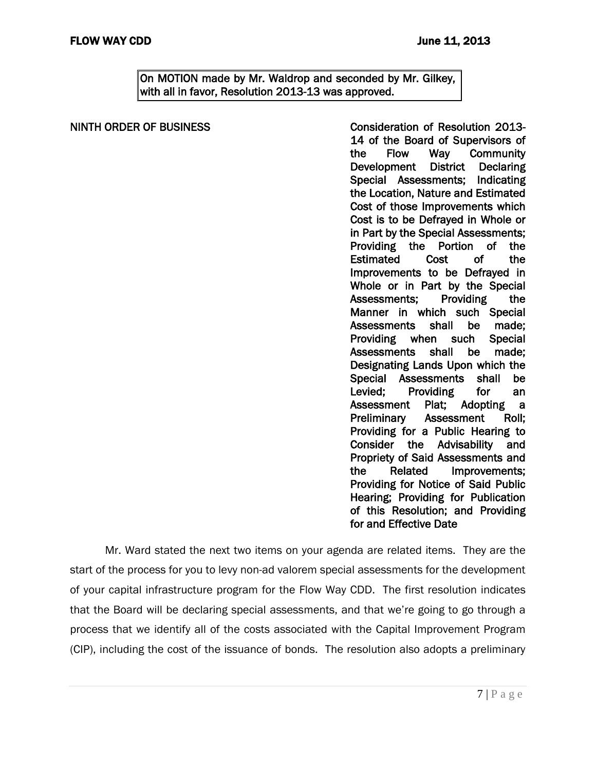On MOTION made by Mr. Waldrop and seconded by Mr. Gilkey, with all in favor, Resolution 2013-13 was approved.

# NINTH ORDER OF BUSINESS CONSIDER THE CONSIDERATION of Resolution 2013-14 of the Board of Supervisors of the Flow Way Community Development District Declaring Special Assessments; Indicating the Location, Nature and Estimated Cost of those Improvements which Cost is to be Defrayed in Whole or in Part by the Special Assessments; Providing the Portion of the Estimated Cost of the Improvements to be Defrayed in Whole or in Part by the Special Assessments; Providing the Manner in which such Special Assessments shall be made; Providing when such Special Assessments shall be made; Designating Lands Upon which the Special Assessments shall be Levied; Providing for an Assessment Plat; Adopting a Preliminary Assessment Roll; Providing for a Public Hearing to Consider the Advisability and Propriety of Said Assessments and the Related Improvements;

Mr. Ward stated the next two items on your agenda are related items. They are the start of the process for you to levy non-ad valorem special assessments for the development of your capital infrastructure program for the Flow Way CDD. The first resolution indicates that the Board will be declaring special assessments, and that we're going to go through a process that we identify all of the costs associated with the Capital Improvement Program (CIP), including the cost of the issuance of bonds. The resolution also adopts a preliminary

Providing for Notice of Said Public Hearing; Providing for Publication of this Resolution; and Providing

for and Effective Date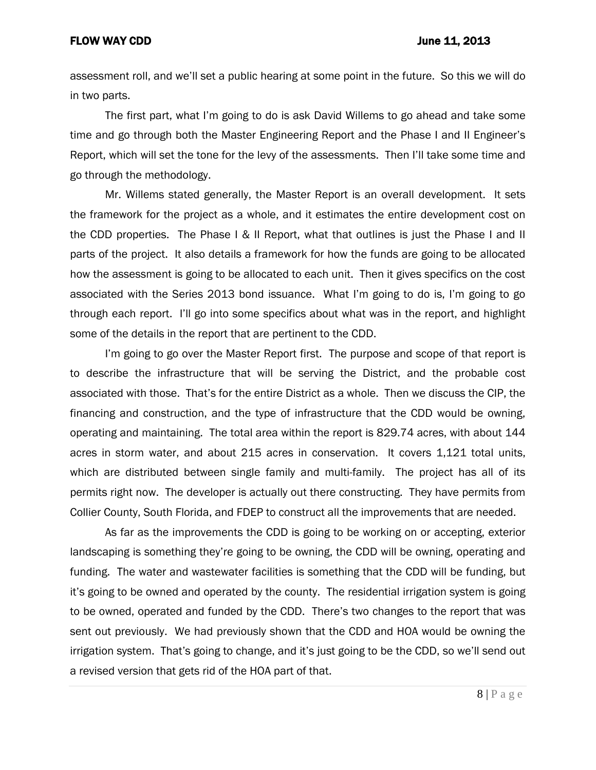assessment roll, and we'll set a public hearing at some point in the future. So this we will do in two parts.

The first part, what I'm going to do is ask David Willems to go ahead and take some time and go through both the Master Engineering Report and the Phase I and II Engineer's Report, which will set the tone for the levy of the assessments. Then I'll take some time and go through the methodology.

Mr. Willems stated generally, the Master Report is an overall development. It sets the framework for the project as a whole, and it estimates the entire development cost on the CDD properties. The Phase I & II Report, what that outlines is just the Phase I and II parts of the project. It also details a framework for how the funds are going to be allocated how the assessment is going to be allocated to each unit. Then it gives specifics on the cost associated with the Series 2013 bond issuance. What I'm going to do is, I'm going to go through each report. I'll go into some specifics about what was in the report, and highlight some of the details in the report that are pertinent to the CDD.

I'm going to go over the Master Report first. The purpose and scope of that report is to describe the infrastructure that will be serving the District, and the probable cost associated with those. That's for the entire District as a whole. Then we discuss the CIP, the financing and construction, and the type of infrastructure that the CDD would be owning, operating and maintaining. The total area within the report is 829.74 acres, with about 144 acres in storm water, and about 215 acres in conservation. It covers 1,121 total units, which are distributed between single family and multi-family. The project has all of its permits right now. The developer is actually out there constructing. They have permits from Collier County, South Florida, and FDEP to construct all the improvements that are needed.

As far as the improvements the CDD is going to be working on or accepting, exterior landscaping is something they're going to be owning, the CDD will be owning, operating and funding. The water and wastewater facilities is something that the CDD will be funding, but it's going to be owned and operated by the county. The residential irrigation system is going to be owned, operated and funded by the CDD. There's two changes to the report that was sent out previously. We had previously shown that the CDD and HOA would be owning the irrigation system. That's going to change, and it's just going to be the CDD, so we'll send out a revised version that gets rid of the HOA part of that.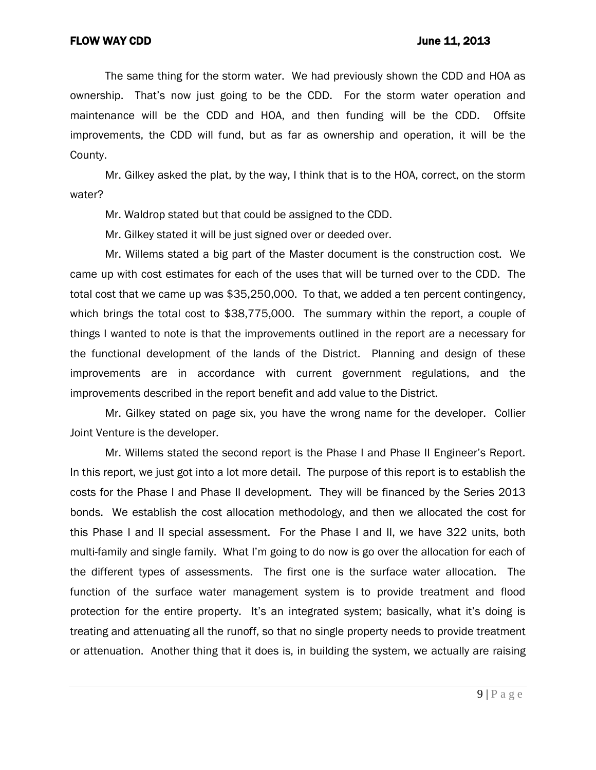The same thing for the storm water. We had previously shown the CDD and HOA as ownership. That's now just going to be the CDD. For the storm water operation and maintenance will be the CDD and HOA, and then funding will be the CDD. Offsite improvements, the CDD will fund, but as far as ownership and operation, it will be the County.

Mr. Gilkey asked the plat, by the way, I think that is to the HOA, correct, on the storm water?

Mr. Waldrop stated but that could be assigned to the CDD.

Mr. Gilkey stated it will be just signed over or deeded over.

Mr. Willems stated a big part of the Master document is the construction cost. We came up with cost estimates for each of the uses that will be turned over to the CDD. The total cost that we came up was \$35,250,000. To that, we added a ten percent contingency, which brings the total cost to \$38,775,000. The summary within the report, a couple of things I wanted to note is that the improvements outlined in the report are a necessary for the functional development of the lands of the District. Planning and design of these improvements are in accordance with current government regulations, and the improvements described in the report benefit and add value to the District.

Mr. Gilkey stated on page six, you have the wrong name for the developer. Collier Joint Venture is the developer.

Mr. Willems stated the second report is the Phase I and Phase II Engineer's Report. In this report, we just got into a lot more detail. The purpose of this report is to establish the costs for the Phase I and Phase II development. They will be financed by the Series 2013 bonds. We establish the cost allocation methodology, and then we allocated the cost for this Phase I and II special assessment. For the Phase I and II, we have 322 units, both multi-family and single family. What I'm going to do now is go over the allocation for each of the different types of assessments. The first one is the surface water allocation. The function of the surface water management system is to provide treatment and flood protection for the entire property. It's an integrated system; basically, what it's doing is treating and attenuating all the runoff, so that no single property needs to provide treatment or attenuation. Another thing that it does is, in building the system, we actually are raising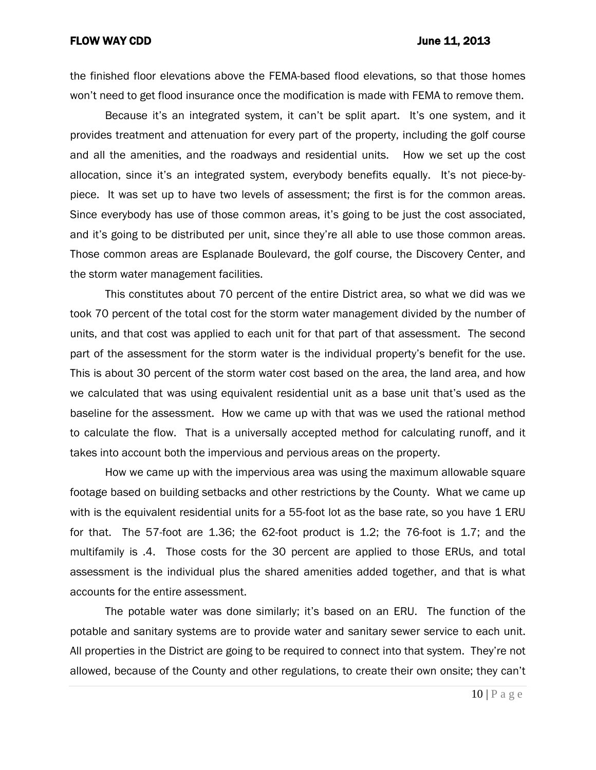the finished floor elevations above the FEMA-based flood elevations, so that those homes won't need to get flood insurance once the modification is made with FEMA to remove them.

Because it's an integrated system, it can't be split apart. It's one system, and it provides treatment and attenuation for every part of the property, including the golf course and all the amenities, and the roadways and residential units. How we set up the cost allocation, since it's an integrated system, everybody benefits equally. It's not piece-bypiece. It was set up to have two levels of assessment; the first is for the common areas. Since everybody has use of those common areas, it's going to be just the cost associated, and it's going to be distributed per unit, since they're all able to use those common areas. Those common areas are Esplanade Boulevard, the golf course, the Discovery Center, and the storm water management facilities.

This constitutes about 70 percent of the entire District area, so what we did was we took 70 percent of the total cost for the storm water management divided by the number of units, and that cost was applied to each unit for that part of that assessment. The second part of the assessment for the storm water is the individual property's benefit for the use. This is about 30 percent of the storm water cost based on the area, the land area, and how we calculated that was using equivalent residential unit as a base unit that's used as the baseline for the assessment. How we came up with that was we used the rational method to calculate the flow. That is a universally accepted method for calculating runoff, and it takes into account both the impervious and pervious areas on the property.

How we came up with the impervious area was using the maximum allowable square footage based on building setbacks and other restrictions by the County. What we came up with is the equivalent residential units for a 55-foot lot as the base rate, so you have 1 ERU for that. The 57-foot are 1.36; the 62-foot product is 1.2; the 76-foot is 1.7; and the multifamily is .4. Those costs for the 30 percent are applied to those ERUs, and total assessment is the individual plus the shared amenities added together, and that is what accounts for the entire assessment.

The potable water was done similarly; it's based on an ERU. The function of the potable and sanitary systems are to provide water and sanitary sewer service to each unit. All properties in the District are going to be required to connect into that system. They're not allowed, because of the County and other regulations, to create their own onsite; they can't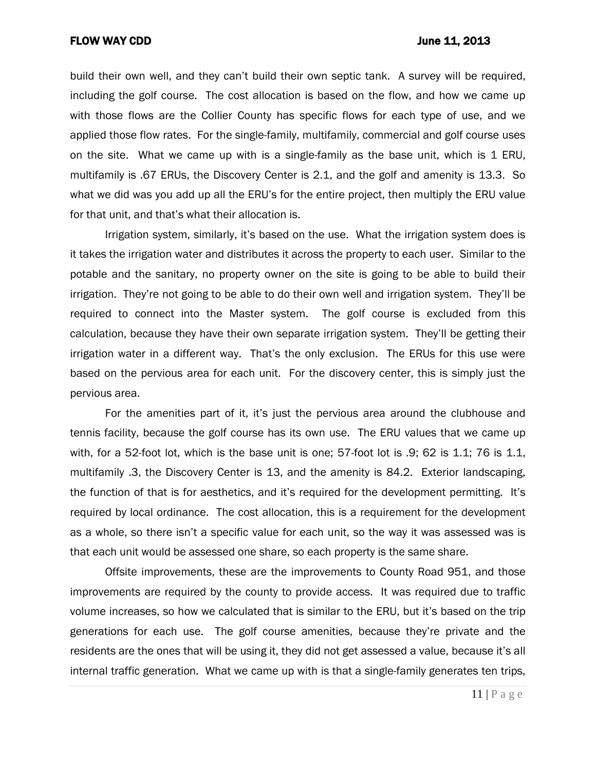build their own well, and they can't build their own septic tank. A survey will be required, including the golf course. The cost allocation is based on the flow, and how we came up with those flows are the Collier County has specific flows for each type of use, and we applied those flow rates. For the single-family, multifamily, commercial and golf course uses on the site. What we came up with is a single-family as the base unit, which is 1 ERU, multifamily is .67 ERUs, the Discovery Center is 2.1, and the golf and amenity is 13.3. So what we did was you add up all the ERU's for the entire project, then multiply the ERU value for that unit, and that's what their allocation is.

Irrigation system, similarly, it's based on the use. What the irrigation system does is it takes the irrigation water and distributes it across the property to each user. Similar to the potable and the sanitary, no property owner on the site is going to be able to build their irrigation. They're not going to be able to do their own well and irrigation system. They'll be required to connect into the Master system. The golf course is excluded from this calculation, because they have their own separate irrigation system. They'll be getting their irrigation water in a different way. That's the only exclusion. The ERUs for this use were based on the pervious area for each unit. For the discovery center, this is simply just the pervious area.

For the amenities part of it, it's just the pervious area around the clubhouse and tennis facility, because the golf course has its own use. The ERU values that we came up with, for a 52-foot lot, which is the base unit is one; 57-foot lot is .9; 62 is 1.1; 76 is 1.1, multifamily .3, the Discovery Center is 13, and the amenity is 84.2. Exterior landscaping, the function of that is for aesthetics, and it's required for the development permitting. It's required by local ordinance. The cost allocation, this is a requirement for the development as a whole, so there isn't a specific value for each unit, so the way it was assessed was is that each unit would be assessed one share, so each property is the same share.

Offsite improvements, these are the improvements to County Road 951, and those improvements are required by the county to provide access. It was required due to traffic volume increases, so how we calculated that is similar to the ERU, but it's based on the trip generations for each use. The golf course amenities, because they're private and the residents are the ones that will be using it, they did not get assessed a value, because it's all internal traffic generation. What we came up with is that a single-family generates ten trips,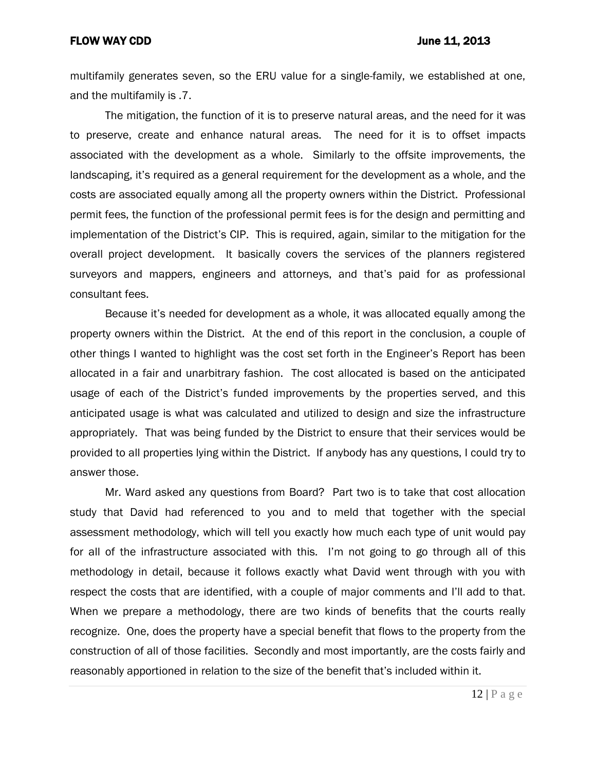multifamily generates seven, so the ERU value for a single-family, we established at one, and the multifamily is .7.

The mitigation, the function of it is to preserve natural areas, and the need for it was to preserve, create and enhance natural areas. The need for it is to offset impacts associated with the development as a whole. Similarly to the offsite improvements, the landscaping, it's required as a general requirement for the development as a whole, and the costs are associated equally among all the property owners within the District. Professional permit fees, the function of the professional permit fees is for the design and permitting and implementation of the District's CIP. This is required, again, similar to the mitigation for the overall project development. It basically covers the services of the planners registered surveyors and mappers, engineers and attorneys, and that's paid for as professional consultant fees.

Because it's needed for development as a whole, it was allocated equally among the property owners within the District. At the end of this report in the conclusion, a couple of other things I wanted to highlight was the cost set forth in the Engineer's Report has been allocated in a fair and unarbitrary fashion. The cost allocated is based on the anticipated usage of each of the District's funded improvements by the properties served, and this anticipated usage is what was calculated and utilized to design and size the infrastructure appropriately. That was being funded by the District to ensure that their services would be provided to all properties lying within the District. If anybody has any questions, I could try to answer those.

Mr. Ward asked any questions from Board? Part two is to take that cost allocation study that David had referenced to you and to meld that together with the special assessment methodology, which will tell you exactly how much each type of unit would pay for all of the infrastructure associated with this. I'm not going to go through all of this methodology in detail, because it follows exactly what David went through with you with respect the costs that are identified, with a couple of major comments and I'll add to that. When we prepare a methodology, there are two kinds of benefits that the courts really recognize. One, does the property have a special benefit that flows to the property from the construction of all of those facilities. Secondly and most importantly, are the costs fairly and reasonably apportioned in relation to the size of the benefit that's included within it.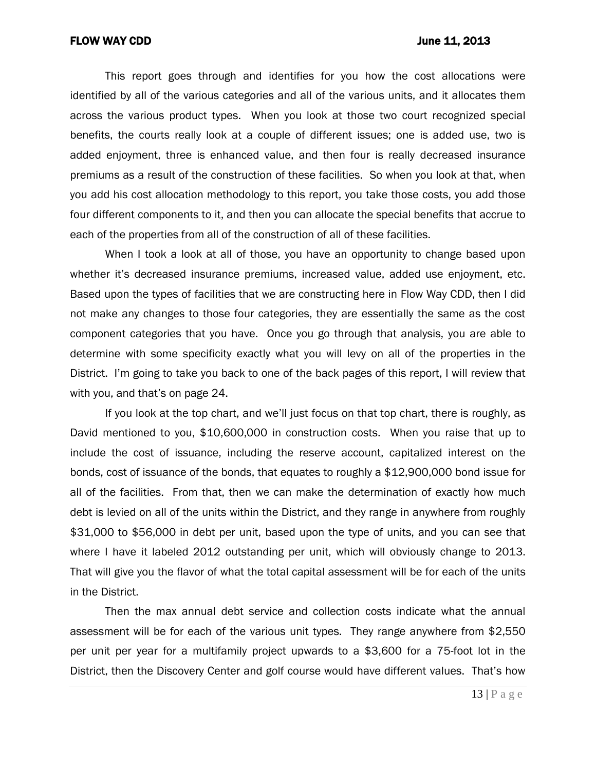This report goes through and identifies for you how the cost allocations were identified by all of the various categories and all of the various units, and it allocates them across the various product types. When you look at those two court recognized special benefits, the courts really look at a couple of different issues; one is added use, two is added enjoyment, three is enhanced value, and then four is really decreased insurance premiums as a result of the construction of these facilities. So when you look at that, when you add his cost allocation methodology to this report, you take those costs, you add those four different components to it, and then you can allocate the special benefits that accrue to each of the properties from all of the construction of all of these facilities.

When I took a look at all of those, you have an opportunity to change based upon whether it's decreased insurance premiums, increased value, added use enjoyment, etc. Based upon the types of facilities that we are constructing here in Flow Way CDD, then I did not make any changes to those four categories, they are essentially the same as the cost component categories that you have. Once you go through that analysis, you are able to determine with some specificity exactly what you will levy on all of the properties in the District. I'm going to take you back to one of the back pages of this report, I will review that with you, and that's on page 24.

If you look at the top chart, and we'll just focus on that top chart, there is roughly, as David mentioned to you, \$10,600,000 in construction costs. When you raise that up to include the cost of issuance, including the reserve account, capitalized interest on the bonds, cost of issuance of the bonds, that equates to roughly a \$12,900,000 bond issue for all of the facilities. From that, then we can make the determination of exactly how much debt is levied on all of the units within the District, and they range in anywhere from roughly \$31,000 to \$56,000 in debt per unit, based upon the type of units, and you can see that where I have it labeled 2012 outstanding per unit, which will obviously change to 2013. That will give you the flavor of what the total capital assessment will be for each of the units in the District.

Then the max annual debt service and collection costs indicate what the annual assessment will be for each of the various unit types. They range anywhere from \$2,550 per unit per year for a multifamily project upwards to a \$3,600 for a 75-foot lot in the District, then the Discovery Center and golf course would have different values. That's how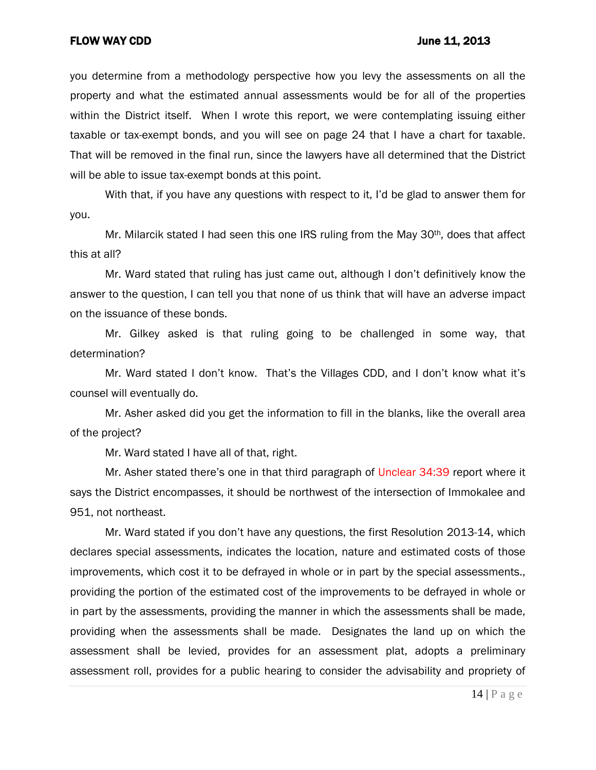you determine from a methodology perspective how you levy the assessments on all the property and what the estimated annual assessments would be for all of the properties within the District itself. When I wrote this report, we were contemplating issuing either taxable or tax-exempt bonds, and you will see on page 24 that I have a chart for taxable. That will be removed in the final run, since the lawyers have all determined that the District will be able to issue tax-exempt bonds at this point.

With that, if you have any questions with respect to it, I'd be glad to answer them for you.

Mr. Milarcik stated I had seen this one IRS ruling from the May 30<sup>th</sup>, does that affect this at all?

Mr. Ward stated that ruling has just came out, although I don't definitively know the answer to the question, I can tell you that none of us think that will have an adverse impact on the issuance of these bonds.

Mr. Gilkey asked is that ruling going to be challenged in some way, that determination?

Mr. Ward stated I don't know. That's the Villages CDD, and I don't know what it's counsel will eventually do.

Mr. Asher asked did you get the information to fill in the blanks, like the overall area of the project?

Mr. Ward stated I have all of that, right.

Mr. Asher stated there's one in that third paragraph of Unclear 34:39 report where it says the District encompasses, it should be northwest of the intersection of Immokalee and 951, not northeast.

Mr. Ward stated if you don't have any questions, the first Resolution 2013-14, which declares special assessments, indicates the location, nature and estimated costs of those improvements, which cost it to be defrayed in whole or in part by the special assessments., providing the portion of the estimated cost of the improvements to be defrayed in whole or in part by the assessments, providing the manner in which the assessments shall be made, providing when the assessments shall be made. Designates the land up on which the assessment shall be levied, provides for an assessment plat, adopts a preliminary assessment roll, provides for a public hearing to consider the advisability and propriety of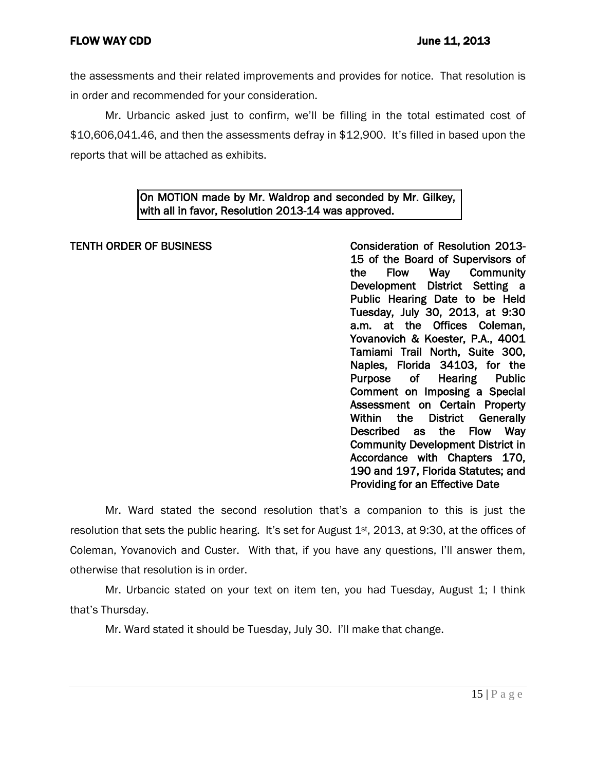the assessments and their related improvements and provides for notice. That resolution is in order and recommended for your consideration.

Mr. Urbancic asked just to confirm, we'll be filling in the total estimated cost of \$10,606,041.46, and then the assessments defray in \$12,900. It's filled in based upon the reports that will be attached as exhibits.

# On MOTION made by Mr. Waldrop and seconded by Mr. Gilkey, with all in favor, Resolution 2013-14 was approved.

# TENTH ORDER OF BUSINESS TENSINESS Consideration of Resolution 2013-15 of the Board of Supervisors of the Flow Way Community Development District Setting a Public Hearing Date to be Held Tuesday, July 30, 2013, at 9:30 a.m. at the Offices Coleman, Yovanovich & Koester, P.A., 4001 Tamiami Trail North, Suite 300, Naples, Florida 34103, for the Purpose of Hearing Public Comment on Imposing a Special Assessment on Certain Property Within the District Generally Described as the Flow Way Community Development District in Accordance with Chapters 170, 190 and 197, Florida Statutes; and Providing for an Effective Date

Mr. Ward stated the second resolution that's a companion to this is just the resolution that sets the public hearing. It's set for August  $1<sup>st</sup>$ , 2013, at 9:30, at the offices of Coleman, Yovanovich and Custer. With that, if you have any questions, I'll answer them, otherwise that resolution is in order.

Mr. Urbancic stated on your text on item ten, you had Tuesday, August 1; I think that's Thursday.

Mr. Ward stated it should be Tuesday, July 30. I'll make that change.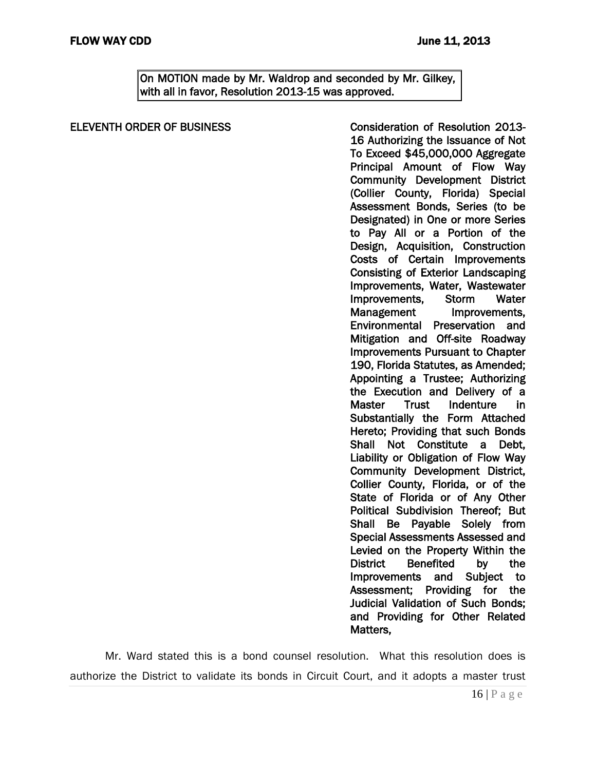On MOTION made by Mr. Waldrop and seconded by Mr. Gilkey, with all in favor, Resolution 2013-15 was approved.

| 16 Authorizing the Issuance of Not<br>To Exceed \$45,000,000 Aggregate<br><b>Community Development District</b><br>(Collier County, Florida) Special<br>Assessment Bonds, Series (to be<br>Designated) in One or more Series<br>to Pay All or a Portion of the<br>Design, Acquisition, Construction<br>Costs of Certain<br><b>Improvements</b><br><b>Consisting of Exterior Landscaping</b><br>Water<br><b>Storm</b><br>Improvements,<br>Management<br>Improvements,<br>Environmental<br>Preservation and<br>Mitigation and Off-site Roadway<br><b>Improvements Pursuant to Chapter</b><br>190, Florida Statutes, as Amended;<br>Appointing a Trustee; Authorizing<br><b>Master</b><br>Indenture<br><b>Trust</b><br><u>in</u><br>Substantially the Form Attached<br>Hereto; Providing that such Bonds<br>Not Constitute<br>Shall<br>Debt.<br>$\mathsf{a}$<br>Liability or Obligation of Flow Way<br>Community Development District,<br>Collier County, Florida, or of the<br>State of Florida or of Any Other<br>Political Subdivision Thereof; But<br>Be Payable Solely from<br><b>Shall</b><br><b>Special Assessments Assessed and</b><br>Levied on the Property Within the<br><b>District</b><br><b>Benefited</b><br>by<br>the<br>Improvements and<br>Subject<br>to<br>Assessment; Providing for<br>the<br><b>Judicial Validation of Such Bonds;</b><br>and Providing for Other Related<br>Matters, | <b>ELEVENTH ORDER OF BUSINESS</b> | <b>Consideration of Resolution 2013-</b> |
|--------------------------------------------------------------------------------------------------------------------------------------------------------------------------------------------------------------------------------------------------------------------------------------------------------------------------------------------------------------------------------------------------------------------------------------------------------------------------------------------------------------------------------------------------------------------------------------------------------------------------------------------------------------------------------------------------------------------------------------------------------------------------------------------------------------------------------------------------------------------------------------------------------------------------------------------------------------------------------------------------------------------------------------------------------------------------------------------------------------------------------------------------------------------------------------------------------------------------------------------------------------------------------------------------------------------------------------------------------------------------------------------------------|-----------------------------------|------------------------------------------|
|                                                                                                                                                                                                                                                                                                                                                                                                                                                                                                                                                                                                                                                                                                                                                                                                                                                                                                                                                                                                                                                                                                                                                                                                                                                                                                                                                                                                        |                                   |                                          |
| Principal Amount of Flow Way<br>Improvements, Water, Wastewater<br>the Execution and Delivery of a                                                                                                                                                                                                                                                                                                                                                                                                                                                                                                                                                                                                                                                                                                                                                                                                                                                                                                                                                                                                                                                                                                                                                                                                                                                                                                     |                                   |                                          |
|                                                                                                                                                                                                                                                                                                                                                                                                                                                                                                                                                                                                                                                                                                                                                                                                                                                                                                                                                                                                                                                                                                                                                                                                                                                                                                                                                                                                        |                                   |                                          |
|                                                                                                                                                                                                                                                                                                                                                                                                                                                                                                                                                                                                                                                                                                                                                                                                                                                                                                                                                                                                                                                                                                                                                                                                                                                                                                                                                                                                        |                                   |                                          |
|                                                                                                                                                                                                                                                                                                                                                                                                                                                                                                                                                                                                                                                                                                                                                                                                                                                                                                                                                                                                                                                                                                                                                                                                                                                                                                                                                                                                        |                                   |                                          |
|                                                                                                                                                                                                                                                                                                                                                                                                                                                                                                                                                                                                                                                                                                                                                                                                                                                                                                                                                                                                                                                                                                                                                                                                                                                                                                                                                                                                        |                                   |                                          |
|                                                                                                                                                                                                                                                                                                                                                                                                                                                                                                                                                                                                                                                                                                                                                                                                                                                                                                                                                                                                                                                                                                                                                                                                                                                                                                                                                                                                        |                                   |                                          |
|                                                                                                                                                                                                                                                                                                                                                                                                                                                                                                                                                                                                                                                                                                                                                                                                                                                                                                                                                                                                                                                                                                                                                                                                                                                                                                                                                                                                        |                                   |                                          |
|                                                                                                                                                                                                                                                                                                                                                                                                                                                                                                                                                                                                                                                                                                                                                                                                                                                                                                                                                                                                                                                                                                                                                                                                                                                                                                                                                                                                        |                                   |                                          |
|                                                                                                                                                                                                                                                                                                                                                                                                                                                                                                                                                                                                                                                                                                                                                                                                                                                                                                                                                                                                                                                                                                                                                                                                                                                                                                                                                                                                        |                                   |                                          |
|                                                                                                                                                                                                                                                                                                                                                                                                                                                                                                                                                                                                                                                                                                                                                                                                                                                                                                                                                                                                                                                                                                                                                                                                                                                                                                                                                                                                        |                                   |                                          |
|                                                                                                                                                                                                                                                                                                                                                                                                                                                                                                                                                                                                                                                                                                                                                                                                                                                                                                                                                                                                                                                                                                                                                                                                                                                                                                                                                                                                        |                                   |                                          |
|                                                                                                                                                                                                                                                                                                                                                                                                                                                                                                                                                                                                                                                                                                                                                                                                                                                                                                                                                                                                                                                                                                                                                                                                                                                                                                                                                                                                        |                                   |                                          |
|                                                                                                                                                                                                                                                                                                                                                                                                                                                                                                                                                                                                                                                                                                                                                                                                                                                                                                                                                                                                                                                                                                                                                                                                                                                                                                                                                                                                        |                                   |                                          |
|                                                                                                                                                                                                                                                                                                                                                                                                                                                                                                                                                                                                                                                                                                                                                                                                                                                                                                                                                                                                                                                                                                                                                                                                                                                                                                                                                                                                        |                                   |                                          |
|                                                                                                                                                                                                                                                                                                                                                                                                                                                                                                                                                                                                                                                                                                                                                                                                                                                                                                                                                                                                                                                                                                                                                                                                                                                                                                                                                                                                        |                                   |                                          |
|                                                                                                                                                                                                                                                                                                                                                                                                                                                                                                                                                                                                                                                                                                                                                                                                                                                                                                                                                                                                                                                                                                                                                                                                                                                                                                                                                                                                        |                                   |                                          |
|                                                                                                                                                                                                                                                                                                                                                                                                                                                                                                                                                                                                                                                                                                                                                                                                                                                                                                                                                                                                                                                                                                                                                                                                                                                                                                                                                                                                        |                                   |                                          |
|                                                                                                                                                                                                                                                                                                                                                                                                                                                                                                                                                                                                                                                                                                                                                                                                                                                                                                                                                                                                                                                                                                                                                                                                                                                                                                                                                                                                        |                                   |                                          |
|                                                                                                                                                                                                                                                                                                                                                                                                                                                                                                                                                                                                                                                                                                                                                                                                                                                                                                                                                                                                                                                                                                                                                                                                                                                                                                                                                                                                        |                                   |                                          |
|                                                                                                                                                                                                                                                                                                                                                                                                                                                                                                                                                                                                                                                                                                                                                                                                                                                                                                                                                                                                                                                                                                                                                                                                                                                                                                                                                                                                        |                                   |                                          |
|                                                                                                                                                                                                                                                                                                                                                                                                                                                                                                                                                                                                                                                                                                                                                                                                                                                                                                                                                                                                                                                                                                                                                                                                                                                                                                                                                                                                        |                                   |                                          |
|                                                                                                                                                                                                                                                                                                                                                                                                                                                                                                                                                                                                                                                                                                                                                                                                                                                                                                                                                                                                                                                                                                                                                                                                                                                                                                                                                                                                        |                                   |                                          |
|                                                                                                                                                                                                                                                                                                                                                                                                                                                                                                                                                                                                                                                                                                                                                                                                                                                                                                                                                                                                                                                                                                                                                                                                                                                                                                                                                                                                        |                                   |                                          |
|                                                                                                                                                                                                                                                                                                                                                                                                                                                                                                                                                                                                                                                                                                                                                                                                                                                                                                                                                                                                                                                                                                                                                                                                                                                                                                                                                                                                        |                                   |                                          |
|                                                                                                                                                                                                                                                                                                                                                                                                                                                                                                                                                                                                                                                                                                                                                                                                                                                                                                                                                                                                                                                                                                                                                                                                                                                                                                                                                                                                        |                                   |                                          |
|                                                                                                                                                                                                                                                                                                                                                                                                                                                                                                                                                                                                                                                                                                                                                                                                                                                                                                                                                                                                                                                                                                                                                                                                                                                                                                                                                                                                        |                                   |                                          |
|                                                                                                                                                                                                                                                                                                                                                                                                                                                                                                                                                                                                                                                                                                                                                                                                                                                                                                                                                                                                                                                                                                                                                                                                                                                                                                                                                                                                        |                                   |                                          |
|                                                                                                                                                                                                                                                                                                                                                                                                                                                                                                                                                                                                                                                                                                                                                                                                                                                                                                                                                                                                                                                                                                                                                                                                                                                                                                                                                                                                        |                                   |                                          |
|                                                                                                                                                                                                                                                                                                                                                                                                                                                                                                                                                                                                                                                                                                                                                                                                                                                                                                                                                                                                                                                                                                                                                                                                                                                                                                                                                                                                        |                                   |                                          |
|                                                                                                                                                                                                                                                                                                                                                                                                                                                                                                                                                                                                                                                                                                                                                                                                                                                                                                                                                                                                                                                                                                                                                                                                                                                                                                                                                                                                        |                                   |                                          |
|                                                                                                                                                                                                                                                                                                                                                                                                                                                                                                                                                                                                                                                                                                                                                                                                                                                                                                                                                                                                                                                                                                                                                                                                                                                                                                                                                                                                        |                                   |                                          |
|                                                                                                                                                                                                                                                                                                                                                                                                                                                                                                                                                                                                                                                                                                                                                                                                                                                                                                                                                                                                                                                                                                                                                                                                                                                                                                                                                                                                        |                                   |                                          |
|                                                                                                                                                                                                                                                                                                                                                                                                                                                                                                                                                                                                                                                                                                                                                                                                                                                                                                                                                                                                                                                                                                                                                                                                                                                                                                                                                                                                        |                                   |                                          |
|                                                                                                                                                                                                                                                                                                                                                                                                                                                                                                                                                                                                                                                                                                                                                                                                                                                                                                                                                                                                                                                                                                                                                                                                                                                                                                                                                                                                        |                                   |                                          |
|                                                                                                                                                                                                                                                                                                                                                                                                                                                                                                                                                                                                                                                                                                                                                                                                                                                                                                                                                                                                                                                                                                                                                                                                                                                                                                                                                                                                        |                                   |                                          |
|                                                                                                                                                                                                                                                                                                                                                                                                                                                                                                                                                                                                                                                                                                                                                                                                                                                                                                                                                                                                                                                                                                                                                                                                                                                                                                                                                                                                        |                                   |                                          |
|                                                                                                                                                                                                                                                                                                                                                                                                                                                                                                                                                                                                                                                                                                                                                                                                                                                                                                                                                                                                                                                                                                                                                                                                                                                                                                                                                                                                        |                                   |                                          |
|                                                                                                                                                                                                                                                                                                                                                                                                                                                                                                                                                                                                                                                                                                                                                                                                                                                                                                                                                                                                                                                                                                                                                                                                                                                                                                                                                                                                        |                                   |                                          |

Mr. Ward stated this is a bond counsel resolution. What this resolution does is authorize the District to validate its bonds in Circuit Court, and it adopts a master trust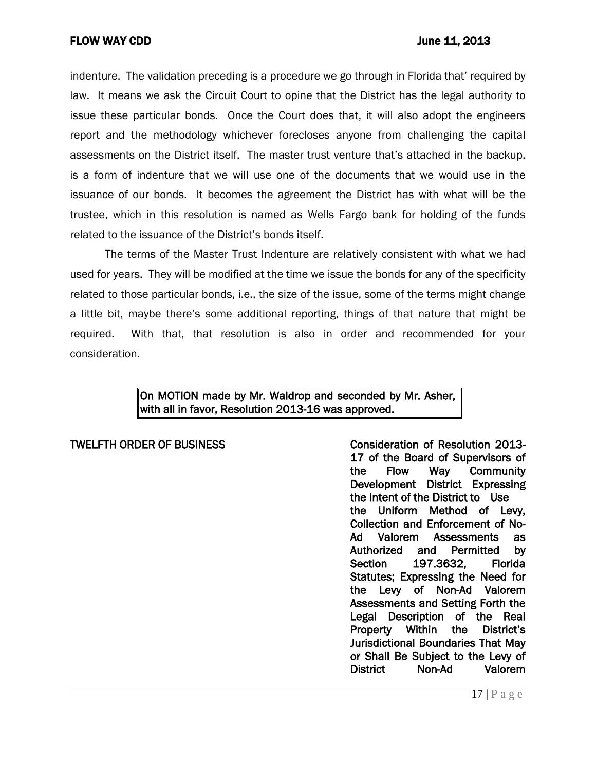indenture. The validation preceding is a procedure we go through in Florida that' required by law. It means we ask the Circuit Court to opine that the District has the legal authority to issue these particular bonds. Once the Court does that, it will also adopt the engineers report and the methodology whichever forecloses anyone from challenging the capital assessments on the District itself. The master trust venture that's attached in the backup, is a form of indenture that we will use one of the documents that we would use in the issuance of our bonds. It becomes the agreement the District has with what will be the trustee, which in this resolution is named as Wells Fargo bank for holding of the funds related to the issuance of the District's bonds itself.

The terms of the Master Trust Indenture are relatively consistent with what we had used for years. They will be modified at the time we issue the bonds for any of the specificity related to those particular bonds, i.e., the size of the issue, some of the terms might change a little bit, maybe there's some additional reporting, things of that nature that might be required. With that, that resolution is also in order and recommended for your consideration.

# On MOTION made by Mr. Waldrop and seconded by Mr. Asher, with all in favor, Resolution 2013-16 was approved.

TWELFTH ORDER OF BUSINESS THE CONSIDERATION OF Resolution 2013-17 of the Board of Supervisors of the Flow Way Community Development District Expressing the Intent of the District to Use the Uniform Method of Levy, Collection and Enforcement of No-Ad Valorem Assessments as Authorized and Permitted by Section 197.3632. Florida Statutes; Expressing the Need for the Levy of Non-Ad Valorem Assessments and Setting Forth the Legal Description of the Real Property Within the District's Jurisdictional Boundaries That May or Shall Be Subject to the Levy of District Non-Ad Valorem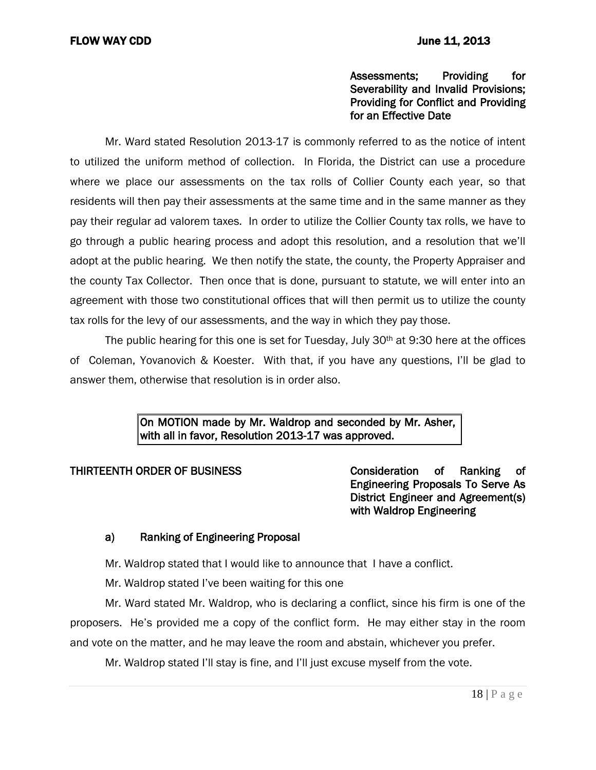# Assessments; Providing for Severability and Invalid Provisions; Providing for Conflict and Providing for an Effective Date

Mr. Ward stated Resolution 2013-17 is commonly referred to as the notice of intent to utilized the uniform method of collection. In Florida, the District can use a procedure where we place our assessments on the tax rolls of Collier County each year, so that residents will then pay their assessments at the same time and in the same manner as they pay their regular ad valorem taxes. In order to utilize the Collier County tax rolls, we have to go through a public hearing process and adopt this resolution, and a resolution that we'll adopt at the public hearing. We then notify the state, the county, the Property Appraiser and the county Tax Collector. Then once that is done, pursuant to statute, we will enter into an agreement with those two constitutional offices that will then permit us to utilize the county tax rolls for the levy of our assessments, and the way in which they pay those.

The public hearing for this one is set for Tuesday, July 30<sup>th</sup> at 9:30 here at the offices of Coleman, Yovanovich & Koester. With that, if you have any questions, I'll be glad to answer them, otherwise that resolution is in order also.

> On MOTION made by Mr. Waldrop and seconded by Mr. Asher, with all in favor, Resolution 2013-17 was approved.

THIRTEENTH ORDER OF BUSINESS Consideration of Ranking of Engineering Proposals To Serve As District Engineer and Agreement(s) with Waldrop Engineering

# a) Ranking of Engineering Proposal

Mr. Waldrop stated that I would like to announce that I have a conflict.

Mr. Waldrop stated I've been waiting for this one

Mr. Ward stated Mr. Waldrop, who is declaring a conflict, since his firm is one of the proposers. He's provided me a copy of the conflict form. He may either stay in the room and vote on the matter, and he may leave the room and abstain, whichever you prefer.

Mr. Waldrop stated I'll stay is fine, and I'll just excuse myself from the vote.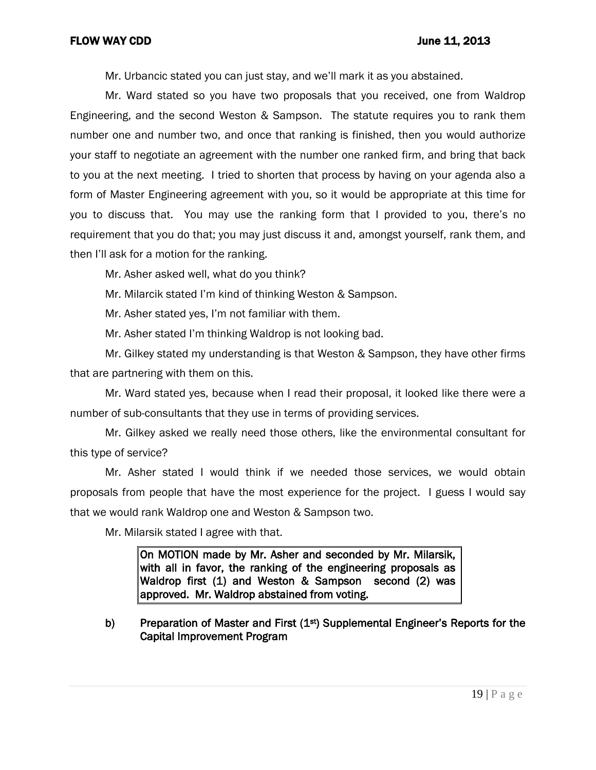Mr. Urbancic stated you can just stay, and we'll mark it as you abstained.

Mr. Ward stated so you have two proposals that you received, one from Waldrop Engineering, and the second Weston & Sampson. The statute requires you to rank them number one and number two, and once that ranking is finished, then you would authorize your staff to negotiate an agreement with the number one ranked firm, and bring that back to you at the next meeting. I tried to shorten that process by having on your agenda also a form of Master Engineering agreement with you, so it would be appropriate at this time for you to discuss that. You may use the ranking form that I provided to you, there's no requirement that you do that; you may just discuss it and, amongst yourself, rank them, and then I'll ask for a motion for the ranking.

Mr. Asher asked well, what do you think?

Mr. Milarcik stated I'm kind of thinking Weston & Sampson.

Mr. Asher stated yes, I'm not familiar with them.

Mr. Asher stated I'm thinking Waldrop is not looking bad.

Mr. Gilkey stated my understanding is that Weston & Sampson, they have other firms that are partnering with them on this.

Mr. Ward stated yes, because when I read their proposal, it looked like there were a number of sub-consultants that they use in terms of providing services.

Mr. Gilkey asked we really need those others, like the environmental consultant for this type of service?

Mr. Asher stated I would think if we needed those services, we would obtain proposals from people that have the most experience for the project. I guess I would say that we would rank Waldrop one and Weston & Sampson two.

Mr. Milarsik stated I agree with that.

On MOTION made by Mr. Asher and seconded by Mr. Milarsik, with all in favor, the ranking of the engineering proposals as Waldrop first (1) and Weston & Sampson second (2) was approved. Mr. Waldrop abstained from voting.

b) Preparation of Master and First  $(1<sup>st</sup>)$  Supplemental Engineer's Reports for the Capital Improvement Program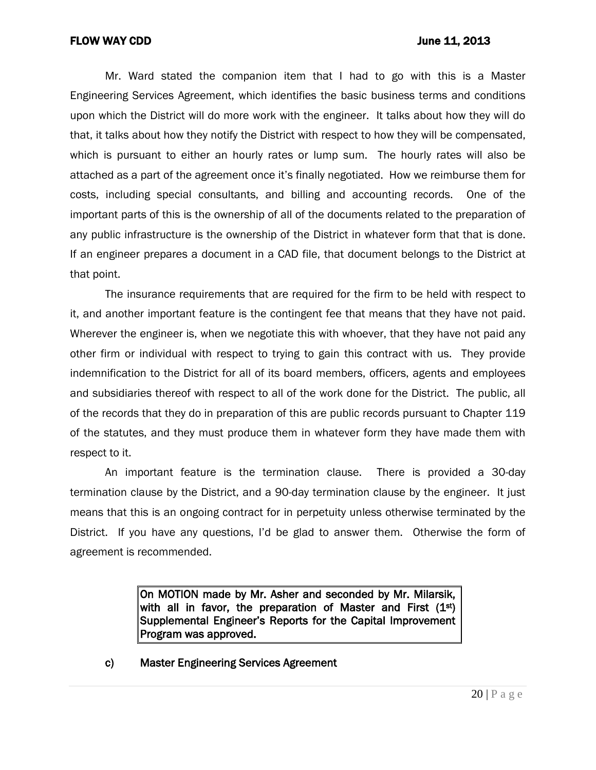Mr. Ward stated the companion item that I had to go with this is a Master Engineering Services Agreement, which identifies the basic business terms and conditions upon which the District will do more work with the engineer. It talks about how they will do that, it talks about how they notify the District with respect to how they will be compensated, which is pursuant to either an hourly rates or lump sum. The hourly rates will also be attached as a part of the agreement once it's finally negotiated. How we reimburse them for costs, including special consultants, and billing and accounting records. One of the important parts of this is the ownership of all of the documents related to the preparation of any public infrastructure is the ownership of the District in whatever form that that is done. If an engineer prepares a document in a CAD file, that document belongs to the District at that point.

The insurance requirements that are required for the firm to be held with respect to it, and another important feature is the contingent fee that means that they have not paid. Wherever the engineer is, when we negotiate this with whoever, that they have not paid any other firm or individual with respect to trying to gain this contract with us. They provide indemnification to the District for all of its board members, officers, agents and employees and subsidiaries thereof with respect to all of the work done for the District. The public, all of the records that they do in preparation of this are public records pursuant to Chapter 119 of the statutes, and they must produce them in whatever form they have made them with respect to it.

An important feature is the termination clause. There is provided a 30-day termination clause by the District, and a 90-day termination clause by the engineer. It just means that this is an ongoing contract for in perpetuity unless otherwise terminated by the District. If you have any questions, I'd be glad to answer them. Otherwise the form of agreement is recommended.

> On MOTION made by Mr. Asher and seconded by Mr. Milarsik, with all in favor, the preparation of Master and First  $(1^{st})$ Supplemental Engineer's Reports for the Capital Improvement Program was approved.

c) Master Engineering Services Agreement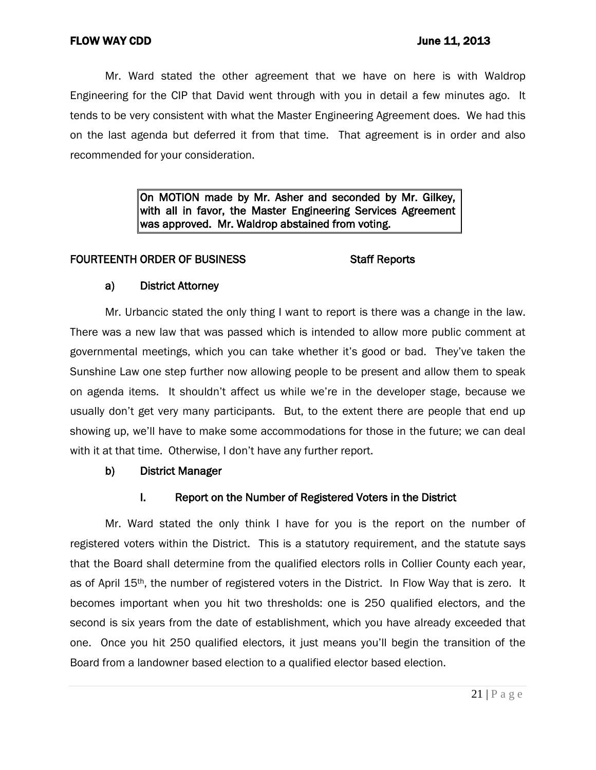Mr. Ward stated the other agreement that we have on here is with Waldrop Engineering for the CIP that David went through with you in detail a few minutes ago. It tends to be very consistent with what the Master Engineering Agreement does. We had this on the last agenda but deferred it from that time. That agreement is in order and also recommended for your consideration.

> On MOTION made by Mr. Asher and seconded by Mr. Gilkey, with all in favor, the Master Engineering Services Agreement was approved. Mr. Waldrop abstained from voting.

# FOURTEENTH ORDER OF BUSINESS Staff Reports

# a) District Attorney

Mr. Urbancic stated the only thing I want to report is there was a change in the law. There was a new law that was passed which is intended to allow more public comment at governmental meetings, which you can take whether it's good or bad. They've taken the Sunshine Law one step further now allowing people to be present and allow them to speak on agenda items. It shouldn't affect us while we're in the developer stage, because we usually don't get very many participants. But, to the extent there are people that end up showing up, we'll have to make some accommodations for those in the future; we can deal with it at that time. Otherwise, I don't have any further report.

# b) District Manager

# I. Report on the Number of Registered Voters in the District

Mr. Ward stated the only think I have for you is the report on the number of registered voters within the District. This is a statutory requirement, and the statute says that the Board shall determine from the qualified electors rolls in Collier County each year, as of April 15th, the number of registered voters in the District. In Flow Way that is zero. It becomes important when you hit two thresholds: one is 250 qualified electors, and the second is six years from the date of establishment, which you have already exceeded that one. Once you hit 250 qualified electors, it just means you'll begin the transition of the Board from a landowner based election to a qualified elector based election.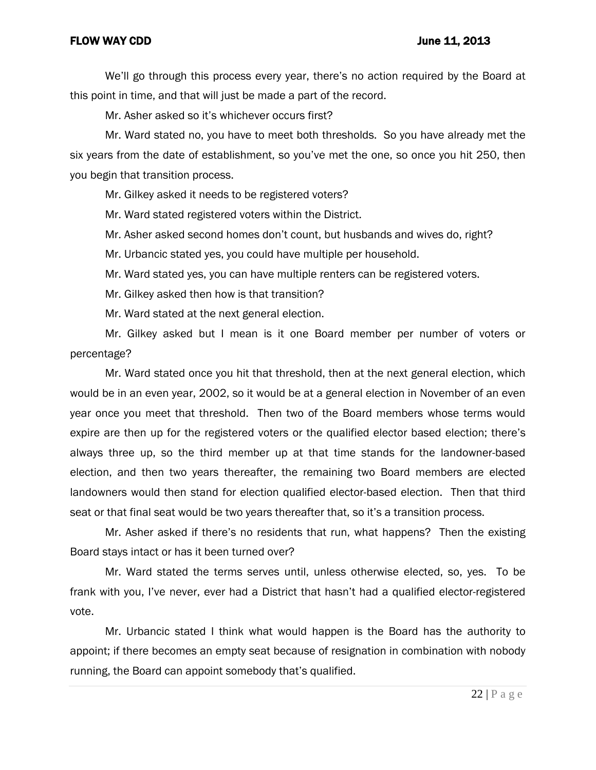We'll go through this process every year, there's no action required by the Board at this point in time, and that will just be made a part of the record.

Mr. Asher asked so it's whichever occurs first?

Mr. Ward stated no, you have to meet both thresholds. So you have already met the six years from the date of establishment, so you've met the one, so once you hit 250, then you begin that transition process.

Mr. Gilkey asked it needs to be registered voters?

Mr. Ward stated registered voters within the District.

Mr. Asher asked second homes don't count, but husbands and wives do, right?

Mr. Urbancic stated yes, you could have multiple per household.

Mr. Ward stated yes, you can have multiple renters can be registered voters.

Mr. Gilkey asked then how is that transition?

Mr. Ward stated at the next general election.

Mr. Gilkey asked but I mean is it one Board member per number of voters or percentage?

Mr. Ward stated once you hit that threshold, then at the next general election, which would be in an even year, 2002, so it would be at a general election in November of an even year once you meet that threshold. Then two of the Board members whose terms would expire are then up for the registered voters or the qualified elector based election; there's always three up, so the third member up at that time stands for the landowner-based election, and then two years thereafter, the remaining two Board members are elected landowners would then stand for election qualified elector-based election. Then that third seat or that final seat would be two years thereafter that, so it's a transition process.

Mr. Asher asked if there's no residents that run, what happens? Then the existing Board stays intact or has it been turned over?

Mr. Ward stated the terms serves until, unless otherwise elected, so, yes. To be frank with you, I've never, ever had a District that hasn't had a qualified elector-registered vote.

Mr. Urbancic stated I think what would happen is the Board has the authority to appoint; if there becomes an empty seat because of resignation in combination with nobody running, the Board can appoint somebody that's qualified.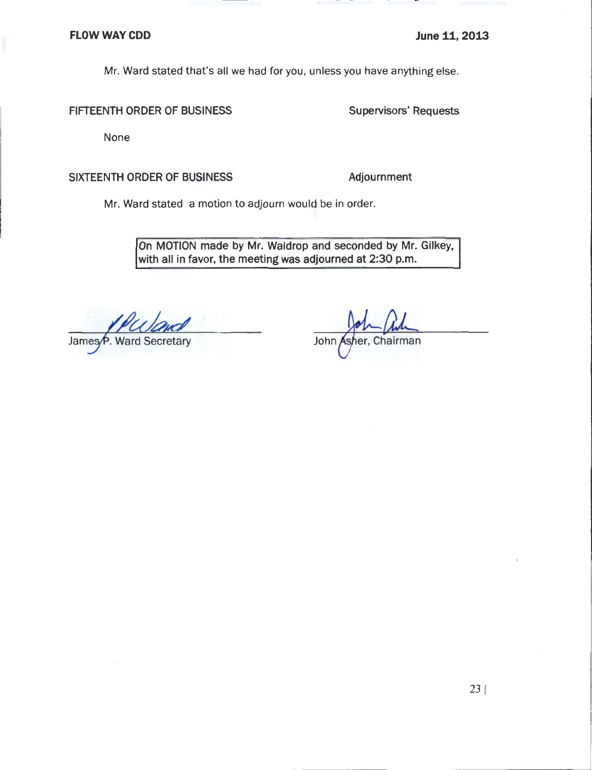Mr. Ward stated that's all we had for you, unless you have anything else.

#### FIFTEENTH ORDER OF BUSINESS

**Supervisors' Requests** 

None

### SIXTEENTH ORDER OF BUSINESS

Adjournment

Mr. Ward stated a motion to adjourn would be in order.

On MOTION made by Mr. Waldrop and seconded by Mr. Gilkey, with all in favor, the meeting was adjourned at 2:30 p.m.

James etary

John Chairman